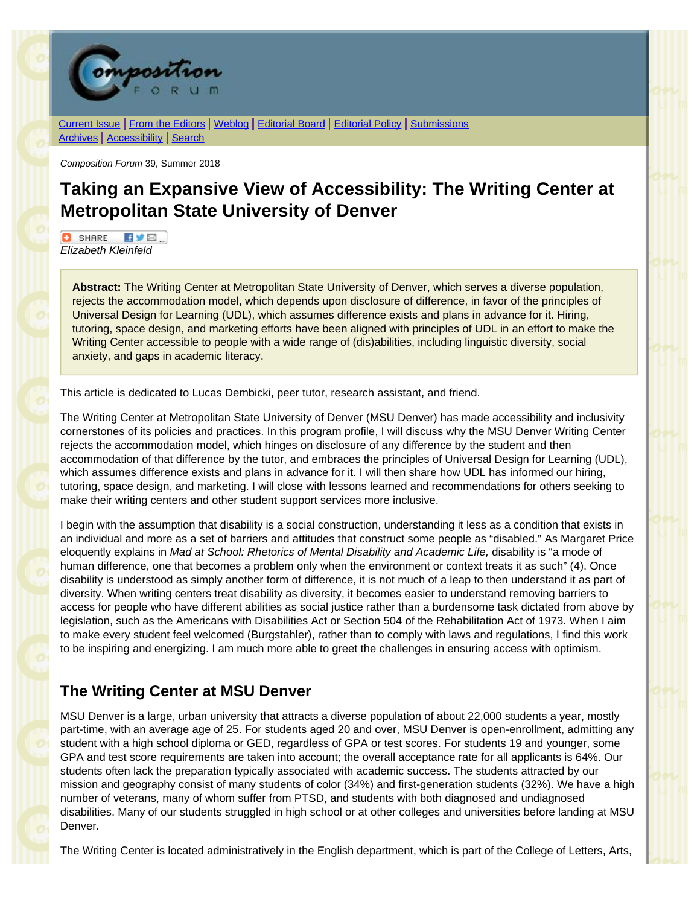

[Current Issue](http://compositionforum.com/issue/39/) | From the [Editors](http://compositionforum.com/issue/39/from-the-editors.php) | [Weblog](http://compositionforum.com/blog/) | [Editorial](http://compositionforum.com/editorial-policy.php) Board | Editorial Policy | [Submissions](http://compositionforum.com/submissions.php) [Archives](http://compositionforum.com/archives.php) | [Accessibility](http://compositionforum.com/accessibility.php) | [Search](http://compositionforum.com/search.php)

*Composition Forum* 39, Summer 2018

# **Taking an Expansive View of Accessibility: The Writing Center at Metropolitan State University of Denver**

**C** SHARE KVØ. *Elizabeth Kleinfeld*

**Abstract:** The Writing Center at Metropolitan State University of Denver, which serves a diverse population, rejects the accommodation model, which depends upon disclosure of difference, in favor of the principles of Universal Design for Learning (UDL), which assumes difference exists and plans in advance for it. Hiring, tutoring, space design, and marketing efforts have been aligned with principles of UDL in an effort to make the Writing Center accessible to people with a wide range of (dis)abilities, including linguistic diversity, social anxiety, and gaps in academic literacy.

This article is dedicated to Lucas Dembicki, peer tutor, research assistant, and friend.

The Writing Center at Metropolitan State University of Denver (MSU Denver) has made accessibility and inclusivity cornerstones of its policies and practices. In this program profile, I will discuss why the MSU Denver Writing Center rejects the accommodation model, which hinges on disclosure of any difference by the student and then accommodation of that difference by the tutor, and embraces the principles of Universal Design for Learning (UDL), which assumes difference exists and plans in advance for it. I will then share how UDL has informed our hiring, tutoring, space design, and marketing. I will close with lessons learned and recommendations for others seeking to make their writing centers and other student support services more inclusive.

I begin with the assumption that disability is a social construction, understanding it less as a condition that exists in an individual and more as a set of barriers and attitudes that construct some people as "disabled." As Margaret Price eloquently explains in *Mad at School: Rhetorics of Mental Disability and Academic Life,* disability is "a mode of human difference, one that becomes a problem only when the environment or context treats it as such" (4). Once disability is understood as simply another form of difference, it is not much of a leap to then understand it as part of diversity. When writing centers treat disability as diversity, it becomes easier to understand removing barriers to access for people who have different abilities as social justice rather than a burdensome task dictated from above by legislation, such as the Americans with Disabilities Act or Section 504 of the Rehabilitation Act of 1973. When I aim to make every student feel welcomed (Burgstahler), rather than to comply with laws and regulations, I find this work to be inspiring and energizing. I am much more able to greet the challenges in ensuring access with optimism.

# **The Writing Center at MSU Denver**

MSU Denver is a large, urban university that attracts a diverse population of about 22,000 students a year, mostly part-time, with an average age of 25. For students aged 20 and over, MSU Denver is open-enrollment, admitting any student with a high school diploma or GED, regardless of GPA or test scores. For students 19 and younger, some GPA and test score requirements are taken into account; the overall acceptance rate for all applicants is 64%. Our students often lack the preparation typically associated with academic success. The students attracted by our mission and geography consist of many students of color (34%) and first-generation students (32%). We have a high number of veterans, many of whom suffer from PTSD, and students with both diagnosed and undiagnosed disabilities. Many of our students struggled in high school or at other colleges and universities before landing at MSU Denver.

The Writing Center is located administratively in the English department, which is part of the College of Letters, Arts,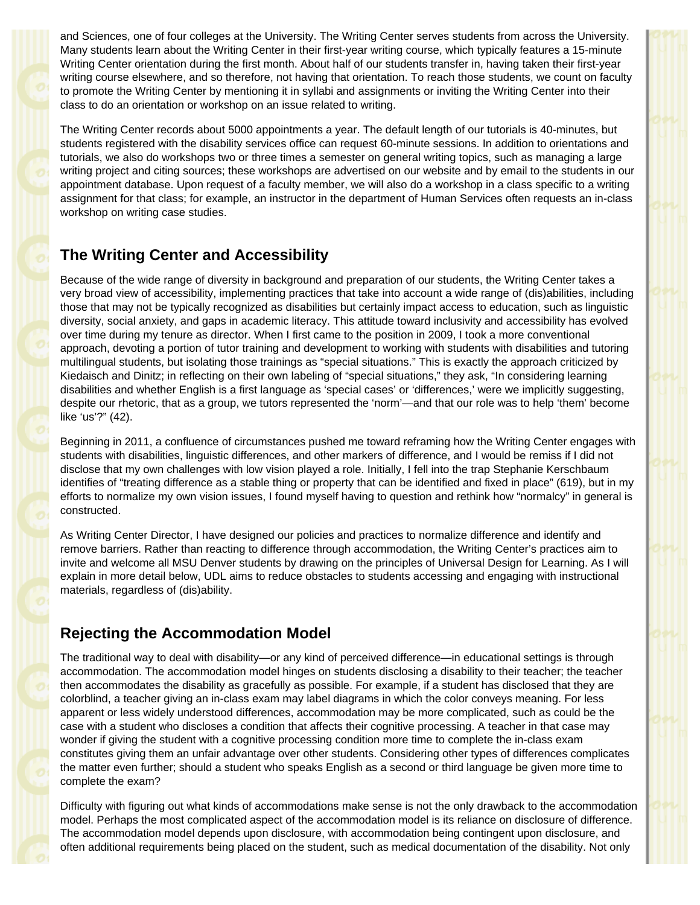and Sciences, one of four colleges at the University. The Writing Center serves students from across the University. Many students learn about the Writing Center in their first-year writing course, which typically features a 15-minute Writing Center orientation during the first month. About half of our students transfer in, having taken their first-year writing course elsewhere, and so therefore, not having that orientation. To reach those students, we count on faculty to promote the Writing Center by mentioning it in syllabi and assignments or inviting the Writing Center into their class to do an orientation or workshop on an issue related to writing.

The Writing Center records about 5000 appointments a year. The default length of our tutorials is 40-minutes, but students registered with the disability services office can request 60-minute sessions. In addition to orientations and tutorials, we also do workshops two or three times a semester on general writing topics, such as managing a large writing project and citing sources; these workshops are advertised on our website and by email to the students in our appointment database. Upon request of a faculty member, we will also do a workshop in a class specific to a writing assignment for that class; for example, an instructor in the department of Human Services often requests an in-class workshop on writing case studies.

# **The Writing Center and Accessibility**

Because of the wide range of diversity in background and preparation of our students, the Writing Center takes a very broad view of accessibility, implementing practices that take into account a wide range of (dis)abilities, including those that may not be typically recognized as disabilities but certainly impact access to education, such as linguistic diversity, social anxiety, and gaps in academic literacy. This attitude toward inclusivity and accessibility has evolved over time during my tenure as director. When I first came to the position in 2009, I took a more conventional approach, devoting a portion of tutor training and development to working with students with disabilities and tutoring multilingual students, but isolating those trainings as "special situations." This is exactly the approach criticized by Kiedaisch and Dinitz; in reflecting on their own labeling of "special situations," they ask, "In considering learning disabilities and whether English is a first language as 'special cases' or 'differences,' were we implicitly suggesting, despite our rhetoric, that as a group, we tutors represented the 'norm'—and that our role was to help 'them' become like 'us'?" (42).

Beginning in 2011, a confluence of circumstances pushed me toward reframing how the Writing Center engages with students with disabilities, linguistic differences, and other markers of difference, and I would be remiss if I did not disclose that my own challenges with low vision played a role. Initially, I fell into the trap Stephanie Kerschbaum identifies of "treating difference as a stable thing or property that can be identified and fixed in place" (619), but in my efforts to normalize my own vision issues, I found myself having to question and rethink how "normalcy" in general is constructed.

As Writing Center Director, I have designed our policies and practices to normalize difference and identify and remove barriers. Rather than reacting to difference through accommodation, the Writing Center's practices aim to invite and welcome all MSU Denver students by drawing on the principles of Universal Design for Learning. As I will explain in more detail below, UDL aims to reduce obstacles to students accessing and engaging with instructional materials, regardless of (dis)ability.

# **Rejecting the Accommodation Model**

The traditional way to deal with disability—or any kind of perceived difference—in educational settings is through accommodation. The accommodation model hinges on students disclosing a disability to their teacher; the teacher then accommodates the disability as gracefully as possible. For example, if a student has disclosed that they are colorblind, a teacher giving an in-class exam may label diagrams in which the color conveys meaning. For less apparent or less widely understood differences, accommodation may be more complicated, such as could be the case with a student who discloses a condition that affects their cognitive processing. A teacher in that case may wonder if giving the student with a cognitive processing condition more time to complete the in-class exam constitutes giving them an unfair advantage over other students. Considering other types of differences complicates the matter even further; should a student who speaks English as a second or third language be given more time to complete the exam?

Difficulty with figuring out what kinds of accommodations make sense is not the only drawback to the accommodation model. Perhaps the most complicated aspect of the accommodation model is its reliance on disclosure of difference. The accommodation model depends upon disclosure, with accommodation being contingent upon disclosure, and often additional requirements being placed on the student, such as medical documentation of the disability. Not only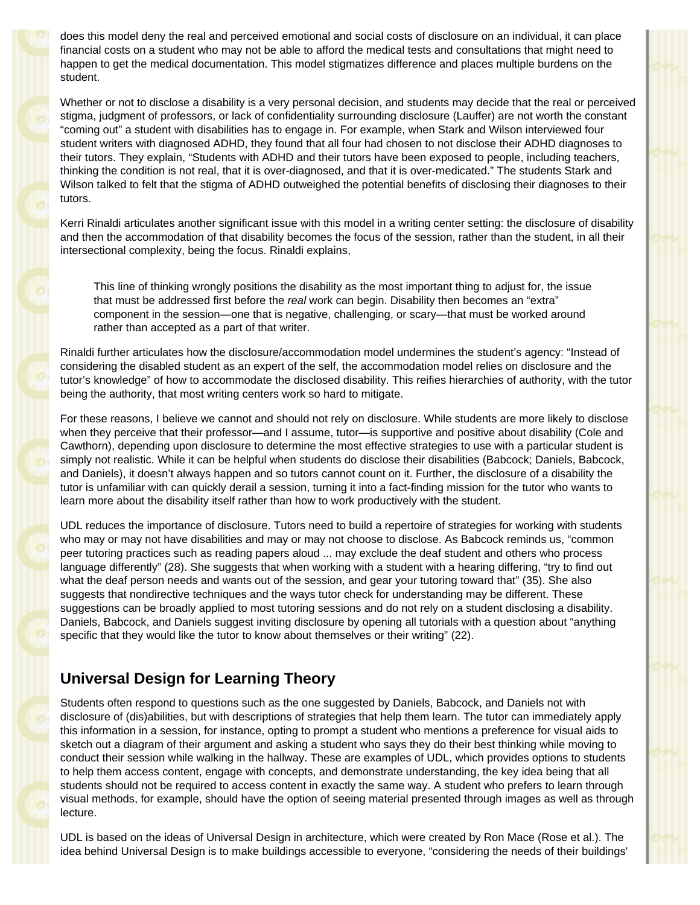does this model deny the real and perceived emotional and social costs of disclosure on an individual, it can place financial costs on a student who may not be able to afford the medical tests and consultations that might need to happen to get the medical documentation. This model stigmatizes difference and places multiple burdens on the student.

Whether or not to disclose a disability is a very personal decision, and students may decide that the real or perceived stigma, judgment of professors, or lack of confidentiality surrounding disclosure (Lauffer) are not worth the constant "coming out" a student with disabilities has to engage in. For example, when Stark and Wilson interviewed four student writers with diagnosed ADHD, they found that all four had chosen to not disclose their ADHD diagnoses to their tutors. They explain, "Students with ADHD and their tutors have been exposed to people, including teachers, thinking the condition is not real, that it is over-diagnosed, and that it is over-medicated." The students Stark and Wilson talked to felt that the stigma of ADHD outweighed the potential benefits of disclosing their diagnoses to their tutors.

Kerri Rinaldi articulates another significant issue with this model in a writing center setting: the disclosure of disability and then the accommodation of that disability becomes the focus of the session, rather than the student, in all their intersectional complexity, being the focus. Rinaldi explains,

This line of thinking wrongly positions the disability as the most important thing to adjust for, the issue that must be addressed first before the *real* work can begin. Disability then becomes an "extra" component in the session—one that is negative, challenging, or scary—that must be worked around rather than accepted as a part of that writer.

Rinaldi further articulates how the disclosure/accommodation model undermines the student's agency: "Instead of considering the disabled student as an expert of the self, the accommodation model relies on disclosure and the tutor's knowledge" of how to accommodate the disclosed disability. This reifies hierarchies of authority, with the tutor being the authority, that most writing centers work so hard to mitigate.

For these reasons, I believe we cannot and should not rely on disclosure. While students are more likely to disclose when they perceive that their professor—and I assume, tutor—is supportive and positive about disability (Cole and Cawthorn), depending upon disclosure to determine the most effective strategies to use with a particular student is simply not realistic. While it can be helpful when students do disclose their disabilities (Babcock; Daniels, Babcock, and Daniels), it doesn't always happen and so tutors cannot count on it. Further, the disclosure of a disability the tutor is unfamiliar with can quickly derail a session, turning it into a fact-finding mission for the tutor who wants to learn more about the disability itself rather than how to work productively with the student.

UDL reduces the importance of disclosure. Tutors need to build a repertoire of strategies for working with students who may or may not have disabilities and may or may not choose to disclose. As Babcock reminds us, "common peer tutoring practices such as reading papers aloud ... may exclude the deaf student and others who process language differently" (28). She suggests that when working with a student with a hearing differing, "try to find out what the deaf person needs and wants out of the session, and gear your tutoring toward that" (35). She also suggests that nondirective techniques and the ways tutor check for understanding may be different. These suggestions can be broadly applied to most tutoring sessions and do not rely on a student disclosing a disability. Daniels, Babcock, and Daniels suggest inviting disclosure by opening all tutorials with a question about "anything specific that they would like the tutor to know about themselves or their writing" (22).

# **Universal Design for Learning Theory**

Students often respond to questions such as the one suggested by Daniels, Babcock, and Daniels not with disclosure of (dis)abilities, but with descriptions of strategies that help them learn. The tutor can immediately apply this information in a session, for instance, opting to prompt a student who mentions a preference for visual aids to sketch out a diagram of their argument and asking a student who says they do their best thinking while moving to conduct their session while walking in the hallway. These are examples of UDL, which provides options to students to help them access content, engage with concepts, and demonstrate understanding, the key idea being that all students should not be required to access content in exactly the same way. A student who prefers to learn through visual methods, for example, should have the option of seeing material presented through images as well as through lecture.

UDL is based on the ideas of Universal Design in architecture, which were created by Ron Mace (Rose et al.). The idea behind Universal Design is to make buildings accessible to everyone, "considering the needs of their buildings'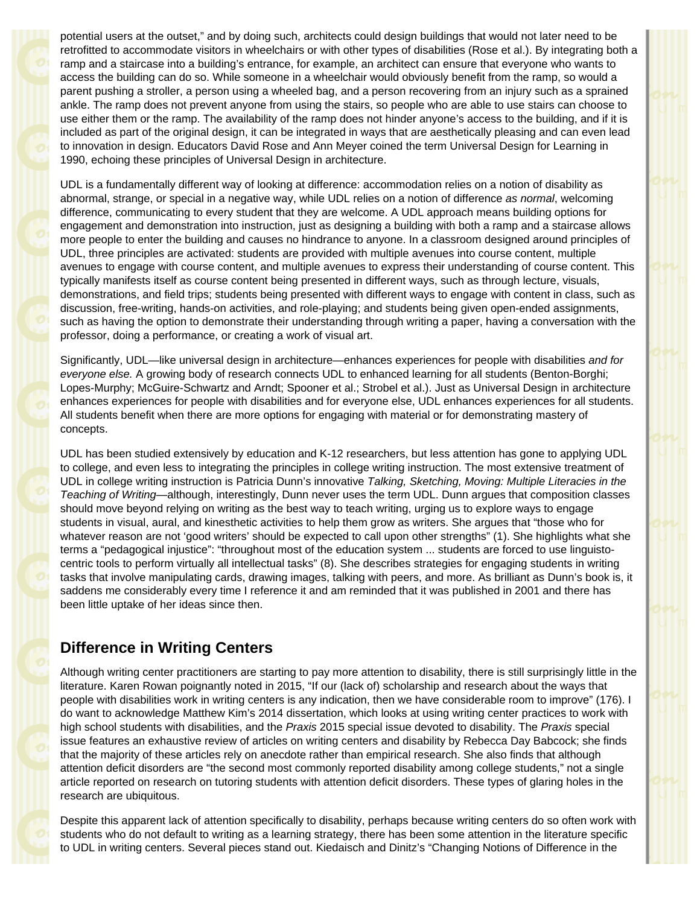potential users at the outset," and by doing such, architects could design buildings that would not later need to be retrofitted to accommodate visitors in wheelchairs or with other types of disabilities (Rose et al.). By integrating both a ramp and a staircase into a building's entrance, for example, an architect can ensure that everyone who wants to access the building can do so. While someone in a wheelchair would obviously benefit from the ramp, so would a parent pushing a stroller, a person using a wheeled bag, and a person recovering from an injury such as a sprained ankle. The ramp does not prevent anyone from using the stairs, so people who are able to use stairs can choose to use either them or the ramp. The availability of the ramp does not hinder anyone's access to the building, and if it is included as part of the original design, it can be integrated in ways that are aesthetically pleasing and can even lead to innovation in design. Educators David Rose and Ann Meyer coined the term Universal Design for Learning in 1990, echoing these principles of Universal Design in architecture.

UDL is a fundamentally different way of looking at difference: accommodation relies on a notion of disability as abnormal, strange, or special in a negative way, while UDL relies on a notion of difference *as normal*, welcoming difference, communicating to every student that they are welcome. A UDL approach means building options for engagement and demonstration into instruction, just as designing a building with both a ramp and a staircase allows more people to enter the building and causes no hindrance to anyone. In a classroom designed around principles of UDL, three principles are activated: students are provided with multiple avenues into course content, multiple avenues to engage with course content, and multiple avenues to express their understanding of course content. This typically manifests itself as course content being presented in different ways, such as through lecture, visuals, demonstrations, and field trips; students being presented with different ways to engage with content in class, such as discussion, free-writing, hands-on activities, and role-playing; and students being given open-ended assignments, such as having the option to demonstrate their understanding through writing a paper, having a conversation with the professor, doing a performance, or creating a work of visual art.

Significantly, UDL—like universal design in architecture—enhances experiences for people with disabilities *and for everyone else.* A growing body of research connects UDL to enhanced learning for all students (Benton-Borghi; Lopes-Murphy; McGuire-Schwartz and Arndt; Spooner et al.; Strobel et al.). Just as Universal Design in architecture enhances experiences for people with disabilities and for everyone else, UDL enhances experiences for all students. All students benefit when there are more options for engaging with material or for demonstrating mastery of concepts.

UDL has been studied extensively by education and K-12 researchers, but less attention has gone to applying UDL to college, and even less to integrating the principles in college writing instruction. The most extensive treatment of UDL in college writing instruction is Patricia Dunn's innovative *Talking, Sketching, Moving: Multiple Literacies in the Teaching of Writing*—although, interestingly, Dunn never uses the term UDL. Dunn argues that composition classes should move beyond relying on writing as the best way to teach writing, urging us to explore ways to engage students in visual, aural, and kinesthetic activities to help them grow as writers. She argues that "those who for whatever reason are not 'good writers' should be expected to call upon other strengths" (1). She highlights what she terms a "pedagogical injustice": "throughout most of the education system ... students are forced to use linguistocentric tools to perform virtually all intellectual tasks" (8). She describes strategies for engaging students in writing tasks that involve manipulating cards, drawing images, talking with peers, and more. As brilliant as Dunn's book is, it saddens me considerably every time I reference it and am reminded that it was published in 2001 and there has been little uptake of her ideas since then.

# **Difference in Writing Centers**

Although writing center practitioners are starting to pay more attention to disability, there is still surprisingly little in the literature. Karen Rowan poignantly noted in 2015, "If our (lack of) scholarship and research about the ways that people with disabilities work in writing centers is any indication, then we have considerable room to improve" (176). I do want to acknowledge Matthew Kim's 2014 dissertation, which looks at using writing center practices to work with high school students with disabilities, and the *Praxis* 2015 special issue devoted to disability. The *Praxis* special issue features an exhaustive review of articles on writing centers and disability by Rebecca Day Babcock; she finds that the majority of these articles rely on anecdote rather than empirical research. She also finds that although attention deficit disorders are "the second most commonly reported disability among college students," not a single article reported on research on tutoring students with attention deficit disorders. These types of glaring holes in the research are ubiquitous.

Despite this apparent lack of attention specifically to disability, perhaps because writing centers do so often work with students who do not default to writing as a learning strategy, there has been some attention in the literature specific to UDL in writing centers. Several pieces stand out. Kiedaisch and Dinitz's "Changing Notions of Difference in the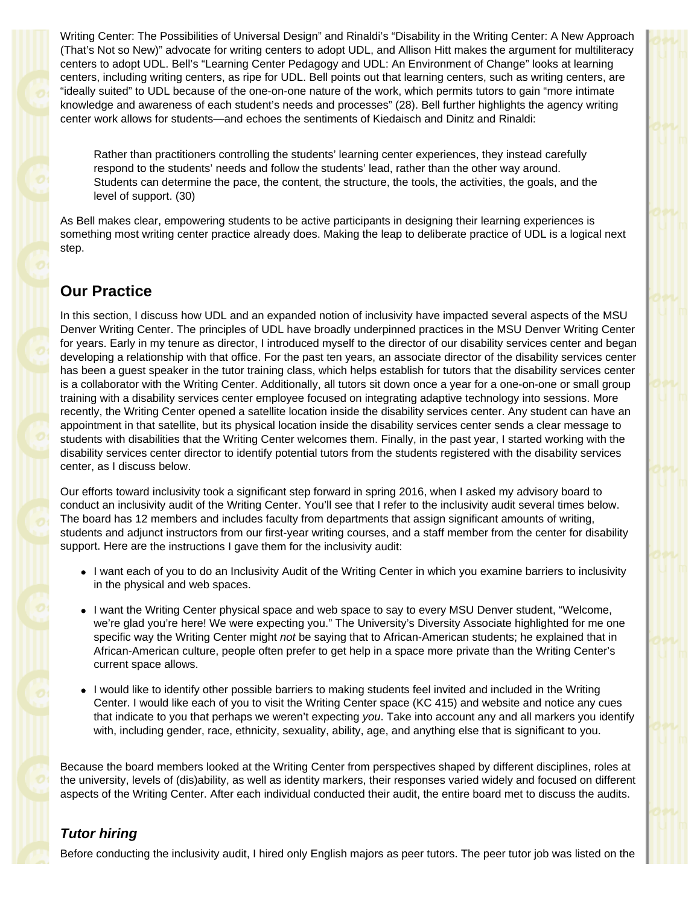Writing Center: The Possibilities of Universal Design" and Rinaldi's "Disability in the Writing Center: A New Approach (That's Not so New)" advocate for writing centers to adopt UDL, and Allison Hitt makes the argument for multiliteracy centers to adopt UDL. Bell's "Learning Center Pedagogy and UDL: An Environment of Change" looks at learning centers, including writing centers, as ripe for UDL. Bell points out that learning centers, such as writing centers, are "ideally suited" to UDL because of the one-on-one nature of the work, which permits tutors to gain "more intimate knowledge and awareness of each student's needs and processes" (28). Bell further highlights the agency writing center work allows for students—and echoes the sentiments of Kiedaisch and Dinitz and Rinaldi:

Rather than practitioners controlling the students' learning center experiences, they instead carefully respond to the students' needs and follow the students' lead, rather than the other way around. Students can determine the pace, the content, the structure, the tools, the activities, the goals, and the level of support. (30)

As Bell makes clear, empowering students to be active participants in designing their learning experiences is something most writing center practice already does. Making the leap to deliberate practice of UDL is a logical next step.

# **Our Practice**

In this section, I discuss how UDL and an expanded notion of inclusivity have impacted several aspects of the MSU Denver Writing Center. The principles of UDL have broadly underpinned practices in the MSU Denver Writing Center for years. Early in my tenure as director, I introduced myself to the director of our disability services center and began developing a relationship with that office. For the past ten years, an associate director of the disability services center has been a guest speaker in the tutor training class, which helps establish for tutors that the disability services center is a collaborator with the Writing Center. Additionally, all tutors sit down once a year for a one-on-one or small group training with a disability services center employee focused on integrating adaptive technology into sessions. More recently, the Writing Center opened a satellite location inside the disability services center. Any student can have an appointment in that satellite, but its physical location inside the disability services center sends a clear message to students with disabilities that the Writing Center welcomes them. Finally, in the past year, I started working with the disability services center director to identify potential tutors from the students registered with the disability services center, as I discuss below.

Our efforts toward inclusivity took a significant step forward in spring 2016, when I asked my advisory board to conduct an inclusivity audit of the Writing Center. You'll see that I refer to the inclusivity audit several times below. The board has 12 members and includes faculty from departments that assign significant amounts of writing, students and adjunct instructors from our first-year writing courses, and a staff member from the center for disability support. Here are the instructions I gave them for the inclusivity audit:

- I want each of you to do an Inclusivity Audit of the Writing Center in which you examine barriers to inclusivity in the physical and web spaces.
- I want the Writing Center physical space and web space to say to every MSU Denver student, "Welcome, we're glad you're here! We were expecting you." The University's Diversity Associate highlighted for me one specific way the Writing Center might *not* be saying that to African-American students; he explained that in African-American culture, people often prefer to get help in a space more private than the Writing Center's current space allows.
- I would like to identify other possible barriers to making students feel invited and included in the Writing Center. I would like each of you to visit the Writing Center space (KC 415) and website and notice any cues that indicate to you that perhaps we weren't expecting *you*. Take into account any and all markers you identify with, including gender, race, ethnicity, sexuality, ability, age, and anything else that is significant to you.

Because the board members looked at the Writing Center from perspectives shaped by different disciplines, roles at the university, levels of (dis)ability, as well as identity markers, their responses varied widely and focused on different aspects of the Writing Center. After each individual conducted their audit, the entire board met to discuss the audits.

#### *Tutor hiring*

Before conducting the inclusivity audit, I hired only English majors as peer tutors. The peer tutor job was listed on the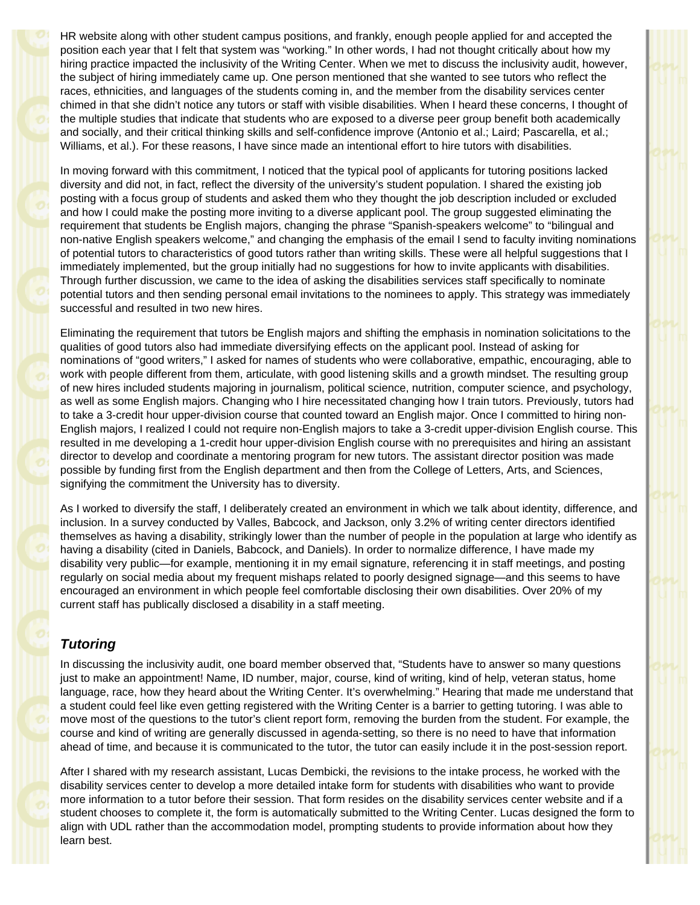HR website along with other student campus positions, and frankly, enough people applied for and accepted the position each year that I felt that system was "working." In other words, I had not thought critically about how my hiring practice impacted the inclusivity of the Writing Center. When we met to discuss the inclusivity audit, however, the subject of hiring immediately came up. One person mentioned that she wanted to see tutors who reflect the races, ethnicities, and languages of the students coming in, and the member from the disability services center chimed in that she didn't notice any tutors or staff with visible disabilities. When I heard these concerns, I thought of the multiple studies that indicate that students who are exposed to a diverse peer group benefit both academically and socially, and their critical thinking skills and self-confidence improve (Antonio et al.; Laird; Pascarella, et al.; Williams, et al.). For these reasons, I have since made an intentional effort to hire tutors with disabilities.

In moving forward with this commitment, I noticed that the typical pool of applicants for tutoring positions lacked diversity and did not, in fact, reflect the diversity of the university's student population. I shared the existing job posting with a focus group of students and asked them who they thought the job description included or excluded and how I could make the posting more inviting to a diverse applicant pool. The group suggested eliminating the requirement that students be English majors, changing the phrase "Spanish-speakers welcome" to "bilingual and non-native English speakers welcome," and changing the emphasis of the email I send to faculty inviting nominations of potential tutors to characteristics of good tutors rather than writing skills. These were all helpful suggestions that I immediately implemented, but the group initially had no suggestions for how to invite applicants with disabilities. Through further discussion, we came to the idea of asking the disabilities services staff specifically to nominate potential tutors and then sending personal email invitations to the nominees to apply. This strategy was immediately successful and resulted in two new hires.

Eliminating the requirement that tutors be English majors and shifting the emphasis in nomination solicitations to the qualities of good tutors also had immediate diversifying effects on the applicant pool. Instead of asking for nominations of "good writers," I asked for names of students who were collaborative, empathic, encouraging, able to work with people different from them, articulate, with good listening skills and a growth mindset. The resulting group of new hires included students majoring in journalism, political science, nutrition, computer science, and psychology, as well as some English majors. Changing who I hire necessitated changing how I train tutors. Previously, tutors had to take a 3-credit hour upper-division course that counted toward an English major. Once I committed to hiring non-English majors, I realized I could not require non-English majors to take a 3-credit upper-division English course. This resulted in me developing a 1-credit hour upper-division English course with no prerequisites and hiring an assistant director to develop and coordinate a mentoring program for new tutors. The assistant director position was made possible by funding first from the English department and then from the College of Letters, Arts, and Sciences, signifying the commitment the University has to diversity.

As I worked to diversify the staff, I deliberately created an environment in which we talk about identity, difference, and inclusion. In a survey conducted by Valles, Babcock, and Jackson, only 3.2% of writing center directors identified themselves as having a disability, strikingly lower than the number of people in the population at large who identify as having a disability (cited in Daniels, Babcock, and Daniels). In order to normalize difference, I have made my disability very public—for example, mentioning it in my email signature, referencing it in staff meetings, and posting regularly on social media about my frequent mishaps related to poorly designed signage—and this seems to have encouraged an environment in which people feel comfortable disclosing their own disabilities. Over 20% of my current staff has publically disclosed a disability in a staff meeting.

#### *Tutoring*

In discussing the inclusivity audit, one board member observed that, "Students have to answer so many questions just to make an appointment! Name, ID number, major, course, kind of writing, kind of help, veteran status, home language, race, how they heard about the Writing Center. It's overwhelming." Hearing that made me understand that a student could feel like even getting registered with the Writing Center is a barrier to getting tutoring. I was able to move most of the questions to the tutor's client report form, removing the burden from the student. For example, the course and kind of writing are generally discussed in agenda-setting, so there is no need to have that information ahead of time, and because it is communicated to the tutor, the tutor can easily include it in the post-session report.

After I shared with my research assistant, Lucas Dembicki, the revisions to the intake process, he worked with the disability services center to develop a more detailed intake form for students with disabilities who want to provide more information to a tutor before their session. That form resides on the disability services center website and if a student chooses to complete it, the form is automatically submitted to the Writing Center. Lucas designed the form to align with UDL rather than the accommodation model, prompting students to provide information about how they learn best.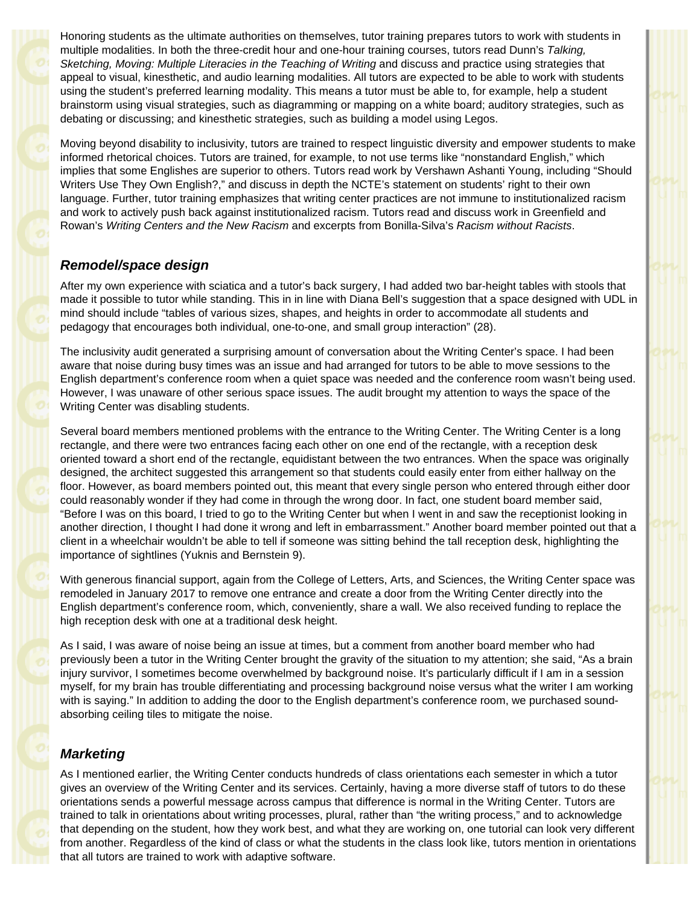Honoring students as the ultimate authorities on themselves, tutor training prepares tutors to work with students in multiple modalities. In both the three-credit hour and one-hour training courses, tutors read Dunn's *Talking, Sketching, Moving: Multiple Literacies in the Teaching of Writing* and discuss and practice using strategies that appeal to visual, kinesthetic, and audio learning modalities. All tutors are expected to be able to work with students using the student's preferred learning modality. This means a tutor must be able to, for example, help a student brainstorm using visual strategies, such as diagramming or mapping on a white board; auditory strategies, such as debating or discussing; and kinesthetic strategies, such as building a model using Legos.

Moving beyond disability to inclusivity, tutors are trained to respect linguistic diversity and empower students to make informed rhetorical choices. Tutors are trained, for example, to not use terms like "nonstandard English," which implies that some Englishes are superior to others. Tutors read work by Vershawn Ashanti Young, including "Should Writers Use They Own English?," and discuss in depth the NCTE's statement on students' right to their own language. Further, tutor training emphasizes that writing center practices are not immune to institutionalized racism and work to actively push back against institutionalized racism. Tutors read and discuss work in Greenfield and Rowan's *Writing Centers and the New Racism* and excerpts from Bonilla-Silva's *Racism without Racists*.

#### *Remodel/space design*

After my own experience with sciatica and a tutor's back surgery, I had added two bar-height tables with stools that made it possible to tutor while standing. This in in line with Diana Bell's suggestion that a space designed with UDL in mind should include "tables of various sizes, shapes, and heights in order to accommodate all students and pedagogy that encourages both individual, one-to-one, and small group interaction" (28).

The inclusivity audit generated a surprising amount of conversation about the Writing Center's space. I had been aware that noise during busy times was an issue and had arranged for tutors to be able to move sessions to the English department's conference room when a quiet space was needed and the conference room wasn't being used. However, I was unaware of other serious space issues. The audit brought my attention to ways the space of the Writing Center was disabling students.

Several board members mentioned problems with the entrance to the Writing Center. The Writing Center is a long rectangle, and there were two entrances facing each other on one end of the rectangle, with a reception desk oriented toward a short end of the rectangle, equidistant between the two entrances. When the space was originally designed, the architect suggested this arrangement so that students could easily enter from either hallway on the floor. However, as board members pointed out, this meant that every single person who entered through either door could reasonably wonder if they had come in through the wrong door. In fact, one student board member said, "Before I was on this board, I tried to go to the Writing Center but when I went in and saw the receptionist looking in another direction, I thought I had done it wrong and left in embarrassment." Another board member pointed out that a client in a wheelchair wouldn't be able to tell if someone was sitting behind the tall reception desk, highlighting the importance of sightlines (Yuknis and Bernstein 9).

With generous financial support, again from the College of Letters, Arts, and Sciences, the Writing Center space was remodeled in January 2017 to remove one entrance and create a door from the Writing Center directly into the English department's conference room, which, conveniently, share a wall. We also received funding to replace the high reception desk with one at a traditional desk height.

As I said, I was aware of noise being an issue at times, but a comment from another board member who had previously been a tutor in the Writing Center brought the gravity of the situation to my attention; she said, "As a brain injury survivor, I sometimes become overwhelmed by background noise. It's particularly difficult if I am in a session myself, for my brain has trouble differentiating and processing background noise versus what the writer I am working with is saying." In addition to adding the door to the English department's conference room, we purchased soundabsorbing ceiling tiles to mitigate the noise.

#### *Marketing*

As I mentioned earlier, the Writing Center conducts hundreds of class orientations each semester in which a tutor gives an overview of the Writing Center and its services. Certainly, having a more diverse staff of tutors to do these orientations sends a powerful message across campus that difference is normal in the Writing Center. Tutors are trained to talk in orientations about writing processes, plural, rather than "the writing process," and to acknowledge that depending on the student, how they work best, and what they are working on, one tutorial can look very different from another. Regardless of the kind of class or what the students in the class look like, tutors mention in orientations that all tutors are trained to work with adaptive software.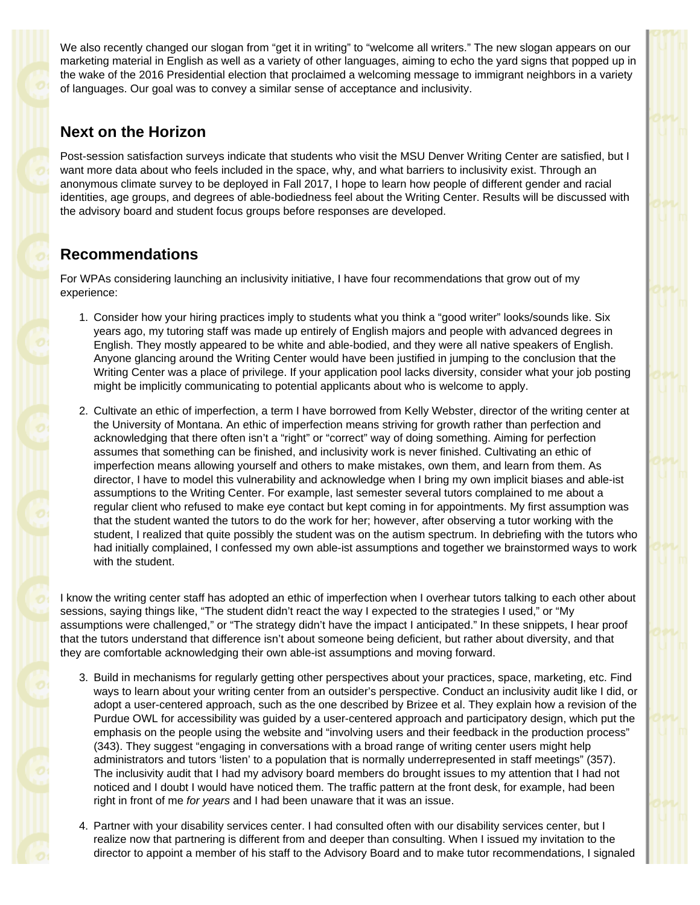We also recently changed our slogan from "get it in writing" to "welcome all writers." The new slogan appears on our marketing material in English as well as a variety of other languages, aiming to echo the yard signs that popped up in the wake of the 2016 Presidential election that proclaimed a welcoming message to immigrant neighbors in a variety of languages. Our goal was to convey a similar sense of acceptance and inclusivity.

### **Next on the Horizon**

Post-session satisfaction surveys indicate that students who visit the MSU Denver Writing Center are satisfied, but I want more data about who feels included in the space, why, and what barriers to inclusivity exist. Through an anonymous climate survey to be deployed in Fall 2017, I hope to learn how people of different gender and racial identities, age groups, and degrees of able-bodiedness feel about the Writing Center. Results will be discussed with the advisory board and student focus groups before responses are developed.

# **Recommendations**

For WPAs considering launching an inclusivity initiative, I have four recommendations that grow out of my experience:

- 1. Consider how your hiring practices imply to students what you think a "good writer" looks/sounds like. Six years ago, my tutoring staff was made up entirely of English majors and people with advanced degrees in English. They mostly appeared to be white and able-bodied, and they were all native speakers of English. Anyone glancing around the Writing Center would have been justified in jumping to the conclusion that the Writing Center was a place of privilege. If your application pool lacks diversity, consider what your job posting might be implicitly communicating to potential applicants about who is welcome to apply.
- 2. Cultivate an ethic of imperfection, a term I have borrowed from Kelly Webster, director of the writing center at the University of Montana. An ethic of imperfection means striving for growth rather than perfection and acknowledging that there often isn't a "right" or "correct" way of doing something. Aiming for perfection assumes that something can be finished, and inclusivity work is never finished. Cultivating an ethic of imperfection means allowing yourself and others to make mistakes, own them, and learn from them. As director, I have to model this vulnerability and acknowledge when I bring my own implicit biases and able-ist assumptions to the Writing Center. For example, last semester several tutors complained to me about a regular client who refused to make eye contact but kept coming in for appointments. My first assumption was that the student wanted the tutors to do the work for her; however, after observing a tutor working with the student, I realized that quite possibly the student was on the autism spectrum. In debriefing with the tutors who had initially complained, I confessed my own able-ist assumptions and together we brainstormed ways to work with the student.

I know the writing center staff has adopted an ethic of imperfection when I overhear tutors talking to each other about sessions, saying things like, "The student didn't react the way I expected to the strategies I used," or "My assumptions were challenged," or "The strategy didn't have the impact I anticipated." In these snippets, I hear proof that the tutors understand that difference isn't about someone being deficient, but rather about diversity, and that they are comfortable acknowledging their own able-ist assumptions and moving forward.

- 3. Build in mechanisms for regularly getting other perspectives about your practices, space, marketing, etc. Find ways to learn about your writing center from an outsider's perspective. Conduct an inclusivity audit like I did, or adopt a user-centered approach, such as the one described by Brizee et al. They explain how a revision of the Purdue OWL for accessibility was guided by a user-centered approach and participatory design, which put the emphasis on the people using the website and "involving users and their feedback in the production process" (343). They suggest "engaging in conversations with a broad range of writing center users might help administrators and tutors 'listen' to a population that is normally underrepresented in staff meetings" (357). The inclusivity audit that I had my advisory board members do brought issues to my attention that I had not noticed and I doubt I would have noticed them. The traffic pattern at the front desk, for example, had been right in front of me *for years* and I had been unaware that it was an issue.
- 4. Partner with your disability services center. I had consulted often with our disability services center, but I realize now that partnering is different from and deeper than consulting. When I issued my invitation to the director to appoint a member of his staff to the Advisory Board and to make tutor recommendations, I signaled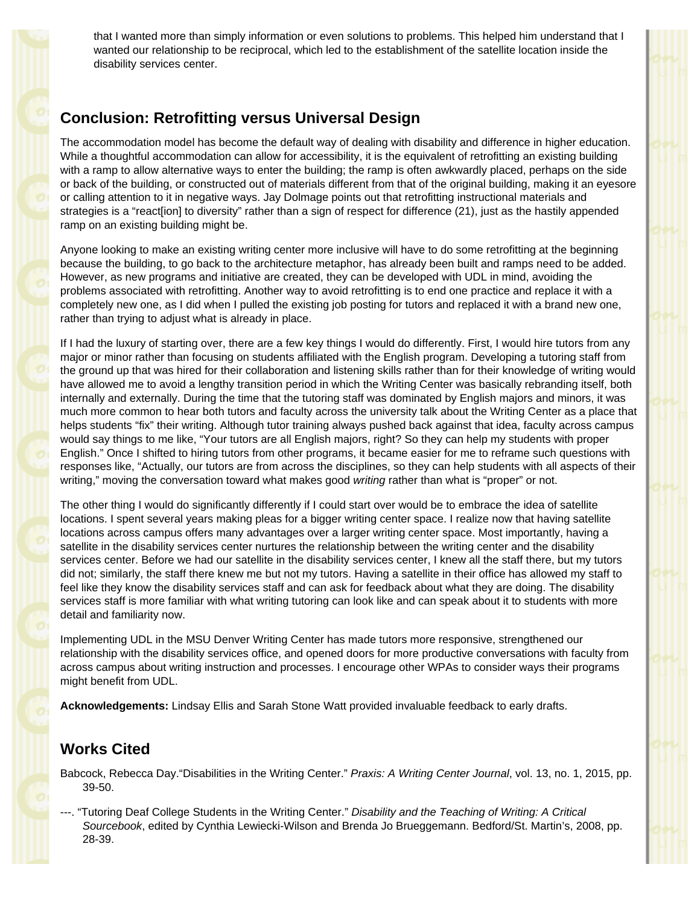that I wanted more than simply information or even solutions to problems. This helped him understand that I wanted our relationship to be reciprocal, which led to the establishment of the satellite location inside the disability services center.

# **Conclusion: Retrofitting versus Universal Design**

The accommodation model has become the default way of dealing with disability and difference in higher education. While a thoughtful accommodation can allow for accessibility, it is the equivalent of retrofitting an existing building with a ramp to allow alternative ways to enter the building; the ramp is often awkwardly placed, perhaps on the side or back of the building, or constructed out of materials different from that of the original building, making it an eyesore or calling attention to it in negative ways. Jay Dolmage points out that retrofitting instructional materials and strategies is a "react[ion] to diversity" rather than a sign of respect for difference (21), just as the hastily appended ramp on an existing building might be.

Anyone looking to make an existing writing center more inclusive will have to do some retrofitting at the beginning because the building, to go back to the architecture metaphor, has already been built and ramps need to be added. However, as new programs and initiative are created, they can be developed with UDL in mind, avoiding the problems associated with retrofitting. Another way to avoid retrofitting is to end one practice and replace it with a completely new one, as I did when I pulled the existing job posting for tutors and replaced it with a brand new one, rather than trying to adjust what is already in place.

If I had the luxury of starting over, there are a few key things I would do differently. First, I would hire tutors from any major or minor rather than focusing on students affiliated with the English program. Developing a tutoring staff from the ground up that was hired for their collaboration and listening skills rather than for their knowledge of writing would have allowed me to avoid a lengthy transition period in which the Writing Center was basically rebranding itself, both internally and externally. During the time that the tutoring staff was dominated by English majors and minors, it was much more common to hear both tutors and faculty across the university talk about the Writing Center as a place that helps students "fix" their writing. Although tutor training always pushed back against that idea, faculty across campus would say things to me like, "Your tutors are all English majors, right? So they can help my students with proper English." Once I shifted to hiring tutors from other programs, it became easier for me to reframe such questions with responses like, "Actually, our tutors are from across the disciplines, so they can help students with all aspects of their writing," moving the conversation toward what makes good *writing* rather than what is "proper" or not.

The other thing I would do significantly differently if I could start over would be to embrace the idea of satellite locations. I spent several years making pleas for a bigger writing center space. I realize now that having satellite locations across campus offers many advantages over a larger writing center space. Most importantly, having a satellite in the disability services center nurtures the relationship between the writing center and the disability services center. Before we had our satellite in the disability services center, I knew all the staff there, but my tutors did not; similarly, the staff there knew me but not my tutors. Having a satellite in their office has allowed my staff to feel like they know the disability services staff and can ask for feedback about what they are doing. The disability services staff is more familiar with what writing tutoring can look like and can speak about it to students with more detail and familiarity now.

Implementing UDL in the MSU Denver Writing Center has made tutors more responsive, strengthened our relationship with the disability services office, and opened doors for more productive conversations with faculty from across campus about writing instruction and processes. I encourage other WPAs to consider ways their programs might benefit from UDL.

**Acknowledgements:** Lindsay Ellis and Sarah Stone Watt provided invaluable feedback to early drafts.

# **Works Cited**

- Babcock, Rebecca Day."Disabilities in the Writing Center." *Praxis: A Writing Center Journal*, vol. 13, no. 1, 2015, pp. 39-50.
- ---. "Tutoring Deaf College Students in the Writing Center." *Disability and the Teaching of Writing: A Critical Sourcebook*, edited by Cynthia Lewiecki-Wilson and Brenda Jo Brueggemann. Bedford/St. Martin's, 2008, pp. 28-39.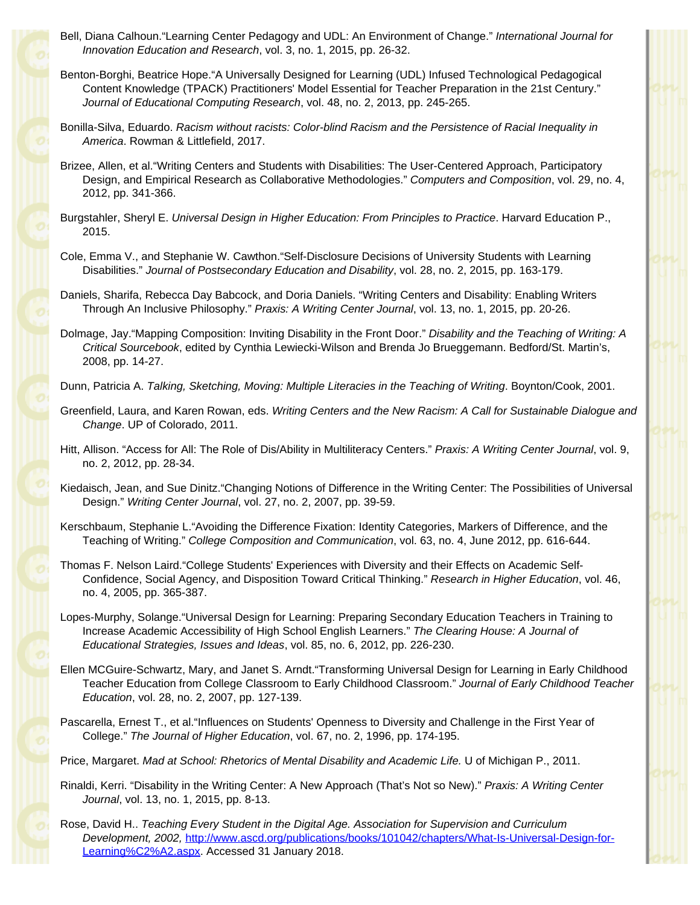- Bell, Diana Calhoun."Learning Center Pedagogy and UDL: An Environment of Change." *International Journal for Innovation Education and Research*, vol. 3, no. 1, 2015, pp. 26-32.
- Benton-Borghi, Beatrice Hope."A Universally Designed for Learning (UDL) Infused Technological Pedagogical Content Knowledge (TPACK) Practitioners' Model Essential for Teacher Preparation in the 21st Century." *Journal of Educational Computing Research*, vol. 48, no. 2, 2013, pp. 245-265.
- Bonilla-Silva, Eduardo. *Racism without racists: Color-blind Racism and the Persistence of Racial Inequality in America*. Rowman & Littlefield, 2017.
- Brizee, Allen, et al."Writing Centers and Students with Disabilities: The User-Centered Approach, Participatory Design, and Empirical Research as Collaborative Methodologies." *Computers and Composition*, vol. 29, no. 4, 2012, pp. 341-366.
- Burgstahler, Sheryl E. *Universal Design in Higher Education: From Principles to Practice*. Harvard Education P., 2015.
- Cole, Emma V., and Stephanie W. Cawthon."Self-Disclosure Decisions of University Students with Learning Disabilities." *Journal of Postsecondary Education and Disability*, vol. 28, no. 2, 2015, pp. 163-179.
- Daniels, Sharifa, Rebecca Day Babcock, and Doria Daniels. "Writing Centers and Disability: Enabling Writers Through An Inclusive Philosophy." *Praxis: A Writing Center Journal*, vol. 13, no. 1, 2015, pp. 20-26.
- Dolmage, Jay."Mapping Composition: Inviting Disability in the Front Door." *Disability and the Teaching of Writing: A Critical Sourcebook*, edited by Cynthia Lewiecki-Wilson and Brenda Jo Brueggemann. Bedford/St. Martin's, 2008, pp. 14-27.
- Dunn, Patricia A. *Talking, Sketching, Moving: Multiple Literacies in the Teaching of Writing*. Boynton/Cook, 2001.
- Greenfield, Laura, and Karen Rowan, eds. *Writing Centers and the New Racism: A Call for Sustainable Dialogue and Change*. UP of Colorado, 2011.
- Hitt, Allison. "Access for All: The Role of Dis/Ability in Multiliteracy Centers." *Praxis: A Writing Center Journal*, vol. 9, no. 2, 2012, pp. 28-34.
- Kiedaisch, Jean, and Sue Dinitz."Changing Notions of Difference in the Writing Center: The Possibilities of Universal Design." *Writing Center Journal*, vol. 27, no. 2, 2007, pp. 39-59.
- Kerschbaum, Stephanie L."Avoiding the Difference Fixation: Identity Categories, Markers of Difference, and the Teaching of Writing." *College Composition and Communication*, vol. 63, no. 4, June 2012, pp. 616-644.
- Thomas F. Nelson Laird."College Students' Experiences with Diversity and their Effects on Academic Self-Confidence, Social Agency, and Disposition Toward Critical Thinking." *Research in Higher Education*, vol. 46, no. 4, 2005, pp. 365-387.
- Lopes-Murphy, Solange."Universal Design for Learning: Preparing Secondary Education Teachers in Training to Increase Academic Accessibility of High School English Learners." *The Clearing House: A Journal of Educational Strategies, Issues and Ideas*, vol. 85, no. 6, 2012, pp. 226-230.
- Ellen MCGuire-Schwartz, Mary, and Janet S. Arndt."Transforming Universal Design for Learning in Early Childhood Teacher Education from College Classroom to Early Childhood Classroom." *Journal of Early Childhood Teacher Education*, vol. 28, no. 2, 2007, pp. 127-139.
- Pascarella, Ernest T., et al."Influences on Students' Openness to Diversity and Challenge in the First Year of College." *The Journal of Higher Education*, vol. 67, no. 2, 1996, pp. 174-195.
- Price, Margaret. *Mad at School: Rhetorics of Mental Disability and Academic Life.* U of Michigan P., 2011.
- Rinaldi, Kerri. "Disability in the Writing Center: A New Approach (That's Not so New)." *Praxis: A Writing Center Journal*, vol. 13, no. 1, 2015, pp. 8-13.
- Rose, David H.. *Teaching Every Student in the Digital Age. Association for Supervision and Curriculum Development, 2002,* [http://www.ascd.org/publications/books/101042/chapters/What-Is-Universal-Design-for-](http://www.ascd.org/publications/books/101042/chapters/What-Is-Universal-Design-for-Learning%C2%A2.aspx)[Learning%C2%A2.aspx](http://www.ascd.org/publications/books/101042/chapters/What-Is-Universal-Design-for-Learning%C2%A2.aspx). Accessed 31 January 2018.